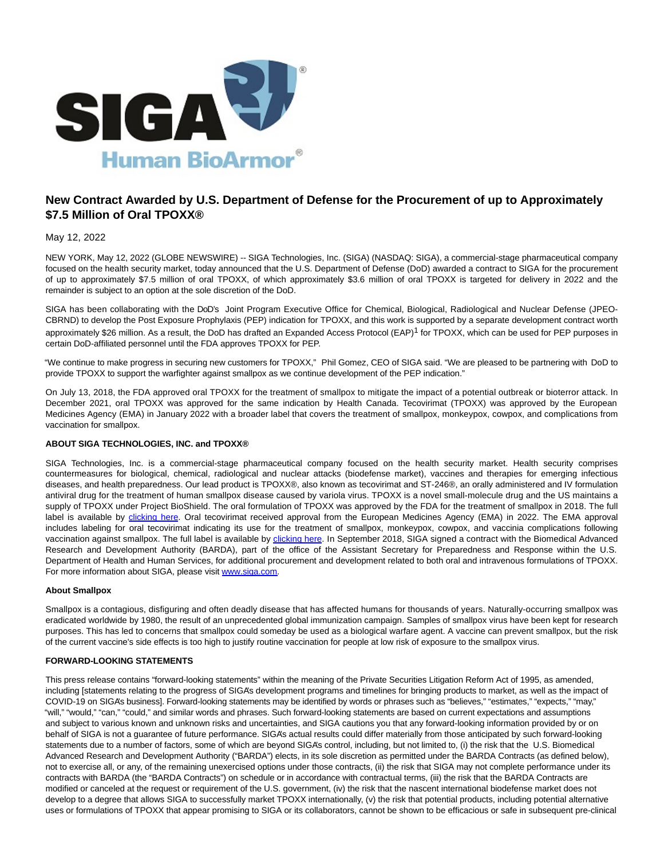

# **New Contract Awarded by U.S. Department of Defense for the Procurement of up to Approximately \$7.5 Million of Oral TPOXX®**

## May 12, 2022

NEW YORK, May 12, 2022 (GLOBE NEWSWIRE) -- SIGA Technologies, Inc. (SIGA) (NASDAQ: SIGA), a commercial-stage pharmaceutical company focused on the health security market, today announced that the U.S. Department of Defense (DoD) awarded a contract to SIGA for the procurement of up to approximately \$7.5 million of oral TPOXX, of which approximately \$3.6 million of oral TPOXX is targeted for delivery in 2022 and the remainder is subject to an option at the sole discretion of the DoD.

SIGA has been collaborating with the DoD's Joint Program Executive Office for Chemical, Biological, Radiological and Nuclear Defense (JPEO-CBRND) to develop the Post Exposure Prophylaxis (PEP) indication for TPOXX, and this work is supported by a separate development contract worth approximately \$26 million. As a result, the DoD has drafted an Expanded Access Protocol (EAP)<sup>1</sup> for TPOXX, which can be used for PEP purposes in certain DoD-affiliated personnel until the FDA approves TPOXX for PEP.

"We continue to make progress in securing new customers for TPOXX," Phil Gomez, CEO of SIGA said. "We are pleased to be partnering with DoD to provide TPOXX to support the warfighter against smallpox as we continue development of the PEP indication."

On July 13, 2018, the FDA approved oral TPOXX for the treatment of smallpox to mitigate the impact of a potential outbreak or bioterror attack. In December 2021, oral TPOXX was approved for the same indication by Health Canada. Tecovirimat (TPOXX) was approved by the European Medicines Agency (EMA) in January 2022 with a broader label that covers the treatment of smallpox, monkeypox, cowpox, and complications from vaccination for smallpox.

#### **ABOUT SIGA TECHNOLOGIES, INC. and TPOXX®**

SIGA Technologies, Inc. is a commercial-stage pharmaceutical company focused on the health security market. Health security comprises countermeasures for biological, chemical, radiological and nuclear attacks (biodefense market), vaccines and therapies for emerging infectious diseases, and health preparedness. Our lead product is TPOXX®, also known as tecovirimat and ST-246®, an orally administered and IV formulation antiviral drug for the treatment of human smallpox disease caused by variola virus. TPOXX is a novel small-molecule drug and the US maintains a supply of TPOXX under Project BioShield. The oral formulation of TPOXX was approved by the FDA for the treatment of smallpox in 2018. The full label is available by [clicking here.](https://www.globenewswire.com/Tracker?data=oepOpT_NKDVGigxcUsr3tiPYWnqlV-9hGsaYCi8CreKkBKWn90EGAmAVJAXCCuY_K1g6KCtvTCcyYD_Oy1Bz9Nr8Ruyyfiu4jV-O6jtqIoWilZL58MTUIN0Wu4i7iom2V64mVi-3kb-MEOKCV8AVpw==) Oral tecovirimat received approval from the European Medicines Agency (EMA) in 2022. The EMA approval includes labeling for oral tecovirimat indicating its use for the treatment of smallpox, monkeypox, cowpox, and vaccinia complications following vaccination against smallpox. The full label is available by [clicking here.](https://www.globenewswire.com/Tracker?data=oepOpT_NKDVGigxcUsr3tri_-1DxLLg5wcpKHPUJ_7aiKC5gl80N_v0POyUfQQv5587mZ2NLrwWh8TLoT4IK3atFuLVvGGvTu4c9LJ7sjIVlYzj3WvJ-PjlDNZMsfKteuiQF5TxDjc5rhpX2sv7HjZ_9aVGQcutSOLsrPv2PbxHzlm6NqLG3XmIU89b9OXjL) In September 2018, SIGA signed a contract with the Biomedical Advanced Research and Development Authority (BARDA), part of the office of the Assistant Secretary for Preparedness and Response within the U.S. Department of Health and Human Services, for additional procurement and development related to both oral and intravenous formulations of TPOXX. For more information about SIGA, please visit [www.siga.com.](http://www.siga.com/)

### **About Smallpox**

Smallpox is a contagious, disfiguring and often deadly disease that has affected humans for thousands of years. Naturally-occurring smallpox was eradicated worldwide by 1980, the result of an unprecedented global immunization campaign. Samples of smallpox virus have been kept for research purposes. This has led to concerns that smallpox could someday be used as a biological warfare agent. A vaccine can prevent smallpox, but the risk of the current vaccine's side effects is too high to justify routine vaccination for people at low risk of exposure to the smallpox virus.

#### **FORWARD-LOOKING STATEMENTS**

This press release contains "forward-looking statements" within the meaning of the Private Securities Litigation Reform Act of 1995, as amended, including [statements relating to the progress of SIGA's development programs and timelines for bringing products to market, as well as the impact of COVID-19 on SIGA's business]. Forward-looking statements may be identified by words or phrases such as "believes," "estimates," "expects," "may," "will," "would," "can," "could," and similar words and phrases. Such forward-looking statements are based on current expectations and assumptions and subject to various known and unknown risks and uncertainties, and SIGA cautions you that any forward-looking information provided by or on behalf of SIGA is not a guarantee of future performance. SIGA's actual results could differ materially from those anticipated by such forward-looking statements due to a number of factors, some of which are beyond SIGA's control, including, but not limited to, (i) the risk that the U.S. Biomedical Advanced Research and Development Authority ("BARDA") elects, in its sole discretion as permitted under the BARDA Contracts (as defined below), not to exercise all, or any, of the remaining unexercised options under those contracts, (ii) the risk that SIGA may not complete performance under its contracts with BARDA (the "BARDA Contracts") on schedule or in accordance with contractual terms, (iii) the risk that the BARDA Contracts are modified or canceled at the request or requirement of the U.S. government, (iv) the risk that the nascent international biodefense market does not develop to a degree that allows SIGA to successfully market TPOXX internationally, (v) the risk that potential products, including potential alternative uses or formulations of TPOXX that appear promising to SIGA or its collaborators, cannot be shown to be efficacious or safe in subsequent pre-clinical